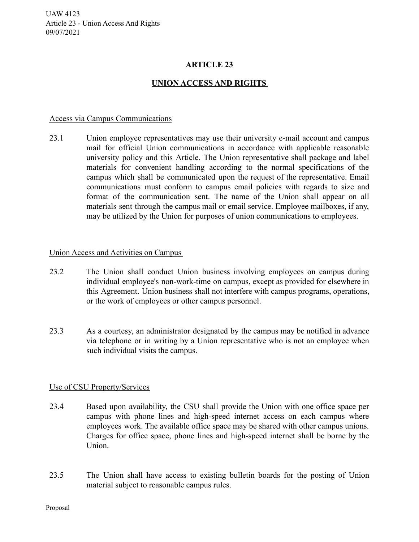# **ARTICLE 23**

# **UNION ACCESS AND RIGHTS**

### Access via Campus Communications

23.1 Union employee representatives may use their university e-mail account and campus mail for official Union communications in accordance with applicable reasonable university policy and this Article. The Union representative shall package and label materials for convenient handling according to the normal specifications of the campus which shall be communicated upon the request of the representative. Email communications must conform to campus email policies with regards to size and format of the communication sent. The name of the Union shall appear on all materials sent through the campus mail or email service. Employee mailboxes, if any, may be utilized by the Union for purposes of union communications to employees.

#### Union Access and Activities on Campus

- 23.2 The Union shall conduct Union business involving employees on campus during individual employee's non-work-time on campus, except as provided for elsewhere in this Agreement. Union business shall not interfere with campus programs, operations, or the work of employees or other campus personnel.
- 23.3 As a courtesy, an administrator designated by the campus may be notified in advance via telephone or in writing by a Union representative who is not an employee when such individual visits the campus.

## Use of CSU Property/Services

- 23.4 Based upon availability, the CSU shall provide the Union with one office space per campus with phone lines and high-speed internet access on each campus where employees work. The available office space may be shared with other campus unions. Charges for office space, phone lines and high-speed internet shall be borne by the Union.
- 23.5 The Union shall have access to existing bulletin boards for the posting of Union material subject to reasonable campus rules.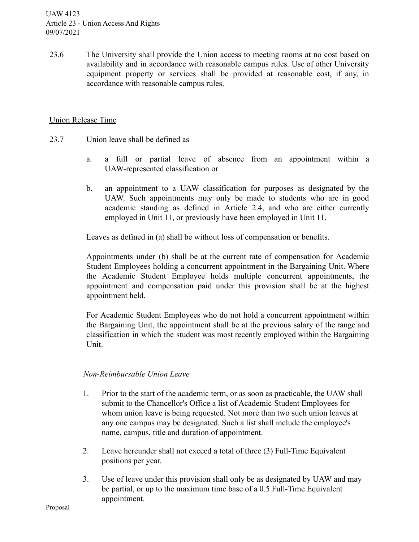23.6 The University shall provide the Union access to meeting rooms at no cost based on availability and in accordance with reasonable campus rules. Use of other University equipment property or services shall be provided at reasonable cost, if any, in accordance with reasonable campus rules.

## Union Release Time

- 23.7 Union leave shall be defined as
	- a. a full or partial leave of absence from an appointment within a UAW-represented classification or
	- b. an appointment to a UAW classification for purposes as designated by the UAW. Such appointments may only be made to students who are in good academic standing as defined in Article 2.4, and who are either currently employed in Unit 11, or previously have been employed in Unit 11.

Leaves as defined in (a) shall be without loss of compensation or benefits.

Appointments under (b) shall be at the current rate of compensation for Academic Student Employees holding a concurrent appointment in the Bargaining Unit. Where the Academic Student Employee holds multiple concurrent appointments, the appointment and compensation paid under this provision shall be at the highest appointment held.

For Academic Student Employees who do not hold a concurrent appointment within the Bargaining Unit, the appointment shall be at the previous salary of the range and classification in which the student was most recently employed within the Bargaining Unit.

## *Non-Reimbursable Union Leave*

- 1. Prior to the start of the academic term, or as soon as practicable, the UAW shall submit to the Chancellor's Office a list of Academic Student Employees for whom union leave is being requested. Not more than two such union leaves at any one campus may be designated. Such a list shall include the employee's name, campus, title and duration of appointment.
- 2. Leave hereunder shall not exceed a total of three (3) Full-Time Equivalent positions per year.
- 3. Use of leave under this provision shall only be as designated by UAW and may be partial, or up to the maximum time base of a 0.5 Full-Time Equivalent appointment.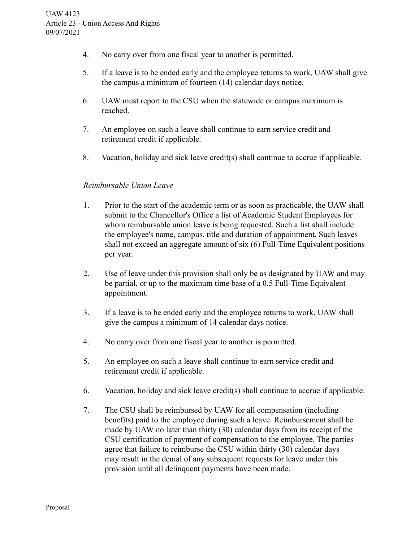- 4. No carry over from one fiscal year to another is permitted.
- 5. If a leave is to be ended early and the employee returns to work, UAW shall give the campus a minimum of fourteen (14) calendar days notice.
- 6. UAW must report to the CSU when the statewide or campus maximum is reached.
- 7. An employee on such a leave shall continue to earn service credit and retirement credit if applicable.
- 8. Vacation, holiday and sick leave credit(s) shall continue to accrue if applicable.

### *Reimbursable Union Leave*

- 1. Prior to the start of the academic term or as soon as practicable, the UAW shall submit to the Chancellor's Office a list of Academic Student Employees for whom reimbursable union leave is being requested. Such a list shall include the employee's name, campus, title and duration of appointment. Such leaves shall not exceed an aggregate amount of six (6) Full-Time Equivalent positions per year.
- 2. Use of leave under this provision shall only be as designated by UAW and may be partial, or up to the maximum time base of a 0.5 Full-Time Equivalent appointment.
- 3. If a leave is to be ended early and the employee returns to work, UAW shall give the campus a minimum of 14 calendar days notice.
- 4. No carry over from one fiscal year to another is permitted.
- 5. An employee on such a leave shall continue to earn service credit and retirement credit if applicable.
- 6. Vacation, holiday and sick leave credit(s) shall continue to accrue if applicable.
- 7. The CSU shall be reimbursed by UAW for all compensation (including benefits) paid to the employee during such a leave. Reimbursement shall be made by UAW no later than thirty (30) calendar days from its receipt of the CSU certification of payment of compensation to the employee. The parties agree that failure to reimburse the CSU within thirty (30) calendar days may result in the denial of any subsequent requests for leave under this provision until all delinquent payments have been made.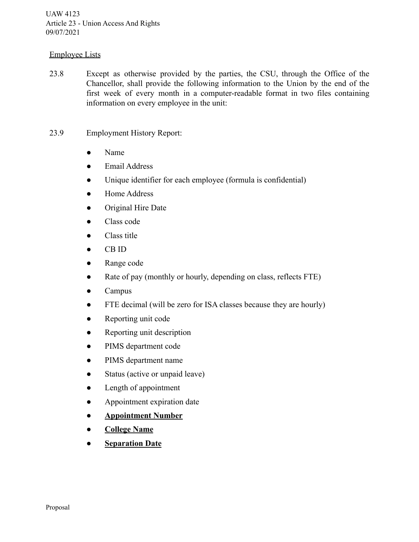# Employee Lists

- 23.8 Except as otherwise provided by the parties, the CSU, through the Office of the Chancellor, shall provide the following information to the Union by the end of the first week of every month in a computer-readable format in two files containing information on every employee in the unit:
- 23.9 Employment History Report:
	- Name
	- Email Address
	- Unique identifier for each employee (formula is confidential)
	- Home Address
	- Original Hire Date
	- Class code
	- Class title
	- CB ID
	- Range code
	- Rate of pay (monthly or hourly, depending on class, reflects FTE)
	- Campus
	- FTE decimal (will be zero for ISA classes because they are hourly)
	- Reporting unit code
	- Reporting unit description
	- PIMS department code
	- PIMS department name
	- Status (active or unpaid leave)
	- Length of appointment
	- Appointment expiration date
	- **● Appointment Number**
	- **● College Name**
	- **<u>Separation Date</u>**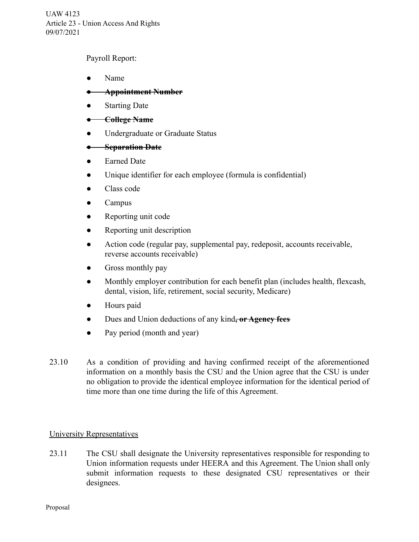Payroll Report:

- Name
- **● Appointment Number**
- Starting Date
- **College Name**
- Undergraduate or Graduate Status

# **● Separation Date**

- **Earned Date**
- Unique identifier for each employee (formula is confidential)
- Class code
- Campus
- Reporting unit code
- Reporting unit description
- Action code (regular pay, supplemental pay, redeposit, accounts receivable, reverse accounts receivable)
- Gross monthly pay
- Monthly employer contribution for each benefit plan (includes health, flexcash, dental, vision, life, retirement, social security, Medicare)
- Hours paid
- Dues and Union deductions of any kind**, or Agency fees**
- Pay period (month and year)
- 23.10 As a condition of providing and having confirmed receipt of the aforementioned information on a monthly basis the CSU and the Union agree that the CSU is under no obligation to provide the identical employee information for the identical period of time more than one time during the life of this Agreement.

## University Representatives

23.11 The CSU shall designate the University representatives responsible for responding to Union information requests under HEERA and this Agreement. The Union shall only submit information requests to these designated CSU representatives or their designees.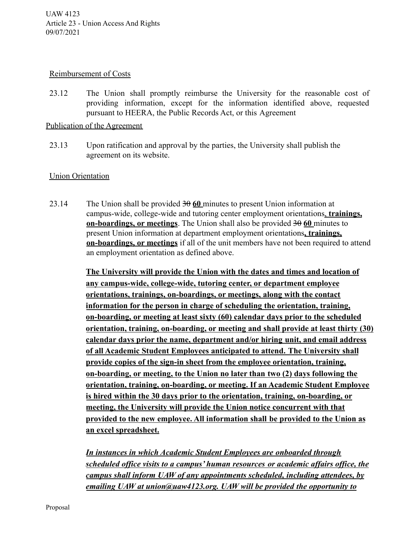### Reimbursement of Costs

23.12 The Union shall promptly reimburse the University for the reasonable cost of providing information, except for the information identified above, requested pursuant to HEERA, the Public Records Act, or this Agreement

### Publication of the Agreement

23.13 Upon ratification and approval by the parties, the University shall publish the agreement on its website.

## Union Orientation

23.14 The Union shall be provided 30 **60** minutes to present Union information at campus-wide, college-wide and tutoring center employment orientations, **trainings, on-boardings, or meetings**. The Union shall also be provided  $\frac{30}{90}$  minutes to present Union information at department employment orientations**, trainings, on-boardings, or meetings** if all of the unit members have not been required to attend an employment orientation as defined above.

> **The University will provide the Union with the dates and times and location of any campus-wide, college-wide, tutoring center, or department employee orientations, trainings, on-boardings, or meetings, along with the contact information for the person in charge of scheduling the orientation, training, on-boarding, or meeting at least sixty (60) calendar days prior to the scheduled orientation, training, on-boarding, or meeting and shall provide at least thirty (30) calendar days prior the name, department and/or hiring unit, and email address of all Academic Student Employees anticipated to attend. The University shall provide copies of the sign-in sheet from the employee orientation, training, on-boarding, or meeting, to the Union no later than two (2) days following the orientation, training, on-boarding, or meeting. If an Academic Student Employee is hired within the 30 days prior to the orientation, training, on-boarding, or meeting, the University will provide the Union notice concurrent with that provided to the new employee. All information shall be provided to the Union as an excel spreadsheet.**

*In instances in which Academic Student Employees are onboarded through scheduled office visits to a campus' human resources or academic affairs office, the campus shall inform UAW of any appointments scheduled, including attendees, by emailing UAW at union@uaw4123.org. UAW will be provided the opportunity to*